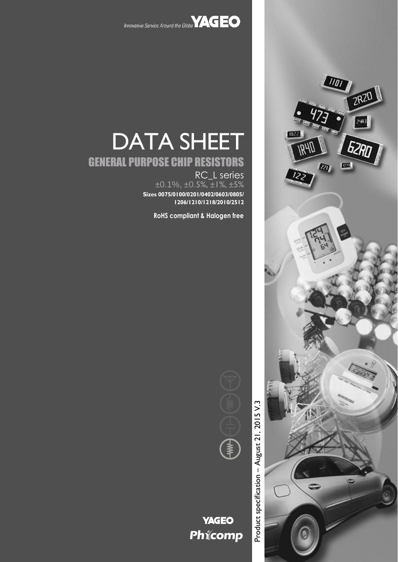



# DATA SHEET

# GENERAL PURPOSE CHIP RESISTORS

RC\_L series  $\pm 0.1\%$ ,  $\pm 0.5\%$ ,  $\pm 1\%$ ,  $\pm 5\%$ **Sizes 0075/0100/0201/0402/0603/0805/ 1206/1210/1218/2010/2512**

**RoHS compliant & Halogen free**



## **YAGEO** Phicomp

Product specification - August 21, 2015 V.3 – August 21, 2015 V.3Product specification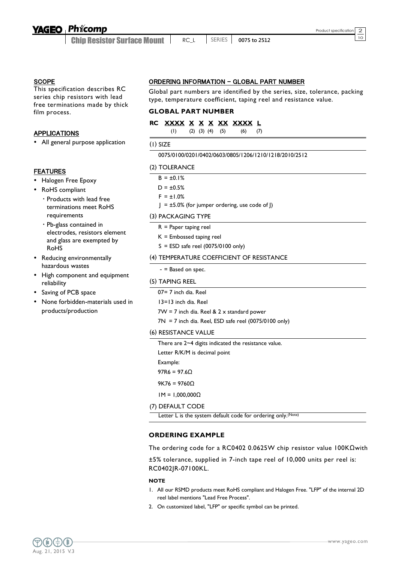## **Phicomp**

Chip Resistor Surface Mount

#### **SCOPE**

This specification describes RC series chip resistors with lead free terminations made by thick film process.

#### APPLICATIONS

All general purpose application

#### **FEATURES**

- Halogen Free Epoxy
- RoHS compliant
	- Products with lead free terminations meet RoHS requirements
	- Pb-glass contained in electrodes, resistors element and glass are exempted by RoHS
- Reducing environmentally hazardous wastes
- High component and equipment reliability
- Saving of PCB space
- None forbidden-materials used in products/production

#### ORDERING INFORMATION - GLOBAL PART NUMBER

Global part numbers are identified by the series, size, tolerance, packing type, temperature coefficient, taping reel and resistance value.

#### **GLOBAL PART NUMBER**

#### **RC XXXX X X X XX XXXX L**

(1) (2) (3) (4) (5) (6) (7)

#### (1) SIZE

#### 0075/0100/0201/0402/0603/0805/1206/1210/1218/2010/2512

#### (2) TOLERANCE

- $B = \pm 0.1\%$  $D = \pm 0.5%$
- $F = \pm 1.0%$
- $J = \pm 5.0\%$  (for jumper ordering, use code of J)

#### (3) PACKAGING TYPE

- R = Paper taping reel
- K = Embossed taping reel
- $S = ESD$  safe reel (0075/0100 only)

#### (4) TEMPERATURE COEFFICIENT OF RESISTANCE

- = Based on spec.

#### (5) TAPING REEL

07= 7 inch dia. Reel

13=13 inch dia. Reel

 $7W = 7$  inch dia. Reel &  $2 \times$  standard power

 $7N = 7$  inch dia. Reel, ESD safe reel (0075/0100 only)

#### (6) RESISTANCE VALUE

There are 2~4 digits indicated the resistance value.

Letter R/K/M is decimal point

Example:

97R6 =  $97.6Ω$ 

9K76 = 9760Ω

1M = 1,000,000Ω

#### (7) DEFAULT CODE

Letter L is the system default code for ordering only.(Note)

#### **ORDERING EXAMPLE**

The ordering code for a RC0402 0.0625W chip resistor value 100KΩwith

±5% tolerance, supplied in 7-inch tape reel of 10,000 units per reel is: RC0402JR-07100KL.

#### **NOTE**

- 1. All our RSMD products meet RoHS compliant and Halogen Free. "LFP" of the internal 2D reel label mentions "Lead Free Process".
- 2. On customized label, "LFP" or specific symbol can be printed.

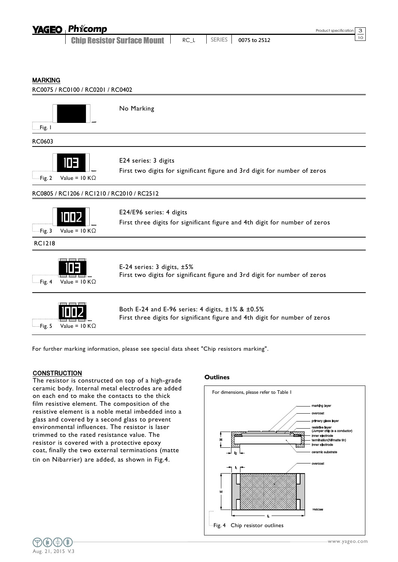| <b>YAGEO Phicomp</b>               |      |               |              | Product specification 3 |  |
|------------------------------------|------|---------------|--------------|-------------------------|--|
| <b>Chip Resistor Surface Mount</b> | RC L | <b>SERIES</b> | 0075 to 2512 |                         |  |

MARKING



For further marking information, please see special data sheet "Chip resistors marking".

#### **CONSTRUCTION**

Fig. 5 Value =  $10 K\Omega$ 

The resistor is constructed on top of a high-grade ceramic body. Internal metal electrodes are added on each end to make the contacts to the thick film resistive element. The composition of the resistive element is a noble metal imbedded into a glass and covered by a second glass to prevent environmental influences. The resistor is laser trimmed to the rated resistance value. The resistor is covered with a protective epoxy coat, finally the two external terminations (matte tin on Nibarrier) are added, as shown in Fig.4.

#### **Outlines**



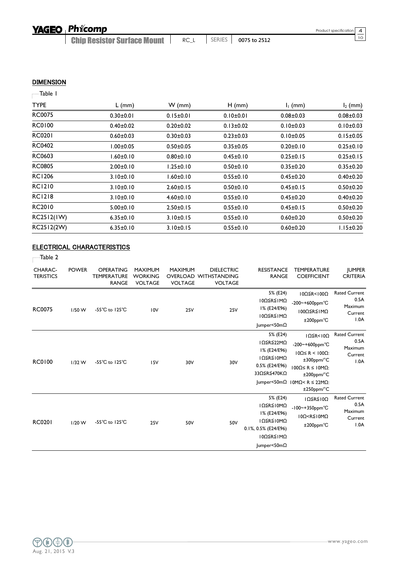**Chip Resistor Surface Mount** | RC\_L | SERIES | 0075 to 2512

#### **DIMENSION**

## Table 1

| <b>TYPE</b>   | $L$ (mm)        | $W$ (mm)        | $H$ (mm)        | $I1$ (mm)       | $I_2$ (mm)      |
|---------------|-----------------|-----------------|-----------------|-----------------|-----------------|
| <b>RC0075</b> | $0.30 \pm 0.01$ | $0.15 \pm 0.01$ | $0.10 \pm 0.01$ | $0.08 + 0.03$   | $0.08 \pm 0.03$ |
| <b>RC0100</b> | $0.40 \pm 0.02$ | $0.20 \pm 0.02$ | $0.13 \pm 0.02$ | $0.10 \pm 0.03$ | $0.10 \pm 0.03$ |
| <b>RC0201</b> | $0.60 + 0.03$   | $0.30 \pm 0.03$ | $0.23 \pm 0.03$ | $0.10 \pm 0.05$ | $0.15 \pm 0.05$ |
| <b>RC0402</b> | 1.00±0.05       | $0.50 + 0.05$   | $0.35 \pm 0.05$ | $0.20 \pm 0.10$ | $0.25 \pm 0.10$ |
| RC0603        | 1.60±0.10       | $0.80 \pm 0.10$ | $0.45 \pm 0.10$ | $0.25 \pm 0.15$ | $0.25 \pm 0.15$ |
| <b>RC0805</b> | $2.00 \pm 0.10$ | l.25±0.10       | $0.50 \pm 0.10$ | $0.35 \pm 0.20$ | $0.35 \pm 0.20$ |
| <b>RC1206</b> | $3.10 \pm 0.10$ | 1.60±0.10       | $0.55 \pm 0.10$ | $0.45 \pm 0.20$ | $0.40 \pm 0.20$ |
| <b>RC1210</b> | 3.10±0.10       | $2.60 \pm 0.15$ | $0.50 \pm 0.10$ | $0.45 \pm 0.15$ | $0.50 + 0.20$   |
| <b>RC1218</b> | $3.10 \pm 0.10$ | $4.60 \pm 0.10$ | $0.55 \pm 0.10$ | $0.45 \pm 0.20$ | $0.40 \pm 0.20$ |
| RC2010        | $5.00 \pm 0.10$ | $2.50 \pm 0.15$ | $0.55 \pm 0.10$ | $0.45 \pm 0.15$ | $0.50 + 0.20$   |
| RC2512(IW)    | $6.35 \pm 0.10$ | $3.10 \pm 0.15$ | $0.55 \pm 0.10$ | $0.60 + 0.20$   | $0.50 \pm 0.20$ |
| RC2512(2W)    | $6.35 \pm 0.10$ | $3.10 \pm 0.15$ | $0.55 \pm 0.10$ | $0.60 + 0.20$   | $1.15 \pm 0.20$ |
|               |                 |                 |                 |                 |                 |

#### ELECTRICAL CHARACTERISTICS

 $T$ able 2

| CHARAC-<br><b>TERISTICS</b> | <b>POWER</b> | <b>OPERATING</b><br><b>TEMPERATURE</b><br><b>RANGE</b> | <b>MAXIMUM</b><br><b>WORKING</b><br><b>VOLTAGE</b> | <b>MAXIMUM</b><br><b>VOLTAGE</b> | <b>DIELECTRIC</b><br>OVERLOAD WITHSTANDING<br><b>VOLTAGE</b> | <b>RESISTANCE</b><br><b>RANGE</b>                                                                                 | <b>TEMPERATURE</b><br><b>COEFFICIENT</b>                                                                                                                                                                                 | <b>JUMPER</b><br><b>CRITERIA</b>                           |
|-----------------------------|--------------|--------------------------------------------------------|----------------------------------------------------|----------------------------------|--------------------------------------------------------------|-------------------------------------------------------------------------------------------------------------------|--------------------------------------------------------------------------------------------------------------------------------------------------------------------------------------------------------------------------|------------------------------------------------------------|
| <b>RC0075</b>               | $1/50$ W     | $-55^{\circ}$ C to $125^{\circ}$ C                     | 10V                                                | <b>25V</b>                       | <b>25V</b>                                                   | 5% (E24)<br>I0Ω≦R≦IMΩ<br>I% (E24/E96)<br>$100 \leq R \leq 1 M\Omega$<br>$ $ umper<50m $\Omega$                    | $10\Omega$ $\leq$ R<100Ω<br>-200~+600ppm°C<br>100Ω≦R≦1MΩ<br>$±200$ ppm $°C$                                                                                                                                              | <b>Rated Current</b><br>0.5A<br>Maximum<br>Current<br>1.0A |
| RC0100                      | $1/32$ W     | $-55^{\circ}$ C to $125^{\circ}$ C                     | 15V                                                | 30V                              | 30V                                                          | 5% (E24)<br>IΩ≦R≦22MΩ<br>I% (E24/E96)<br>$10 \le R \le 10 M\Omega$<br>0.5% (E24/E96)<br>33Ω≦R≦470KΩ               | $I\Omega \leq R < I\ 0\Omega$<br>-200~+600ppm°C<br>$10Ω ≤ R < 100Ω$ :<br>$±300$ ppm/°C<br>$100Q \le R \le 10MQ$ :<br>$±200$ ppm/ $°C$<br>$ $ umper<50m $\Omega$   0M $\Omega$ < R $\leq$ 22M $\Omega$ :<br>$±250$ ppm/°C | <b>Rated Current</b><br>0.5A<br>Maximum<br>Current<br>1.0A |
| <b>RC0201</b>               | $1/20$ W     | $-55^{\circ}$ C to $125^{\circ}$ C                     | <b>25V</b>                                         | 50V                              | 50V                                                          | 5% (E24)<br>ΙΩ≦R≦Ι0ΜΩ<br>I% (E24/E96)<br>ΙΩ≦R≦Ι0ΜΩ<br>0.1%, 0.5% (E24/E96)<br>10Ω≦R≦1MΩ<br>$ $ umper<50m $\Omega$ | $IΩ$ $≤$ R $≤$ $I$ 0Ω<br>$-100$ ~+350ppm $°C$<br>$10\Omega < R \le 10 M\Omega$<br>$±200$ ppm $°C$                                                                                                                        | <b>Rated Current</b><br>0.5A<br>Maximum<br>Current<br>1.0A |

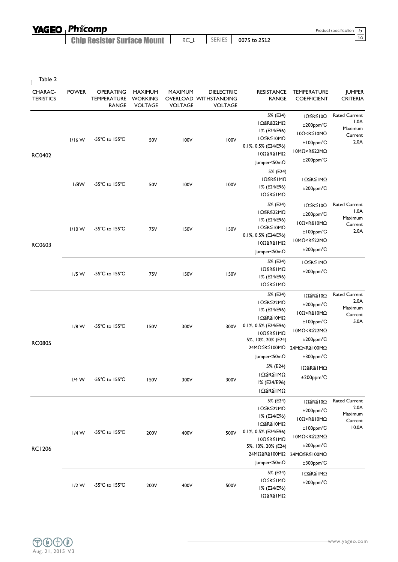| <b>YAGEO Phicomp</b> |
|----------------------|
|                      |

**Chip Resistor Surface Mount** | RC\_L | SERIES | 0075 to 2512

| CHARAC-<br><b>TERISTICS</b> | <b>POWER</b> | OPERATING<br><b>TEMPERATURE</b><br><b>RANGE</b> | MAXIMUM<br><b>WORKING</b><br><b>VOLTAGE</b> | <b>MAXIMUM</b><br><b>VOLTAGE</b> | <b>DIELECTRIC</b><br>OVERLOAD WITHSTANDING<br><b>VOLTAGE</b> | <b>RESISTANCE</b><br>RANGE                                                                                                                              | <b>TEMPERATURE</b><br><b>COEFFICIENT</b>                                                                                                                                                    | <b>JUMPER</b><br><b>CRITERIA</b>                            |
|-----------------------------|--------------|-------------------------------------------------|---------------------------------------------|----------------------------------|--------------------------------------------------------------|---------------------------------------------------------------------------------------------------------------------------------------------------------|---------------------------------------------------------------------------------------------------------------------------------------------------------------------------------------------|-------------------------------------------------------------|
| <b>RC0402</b>               | $1/16$ W     | $-55^{\circ}$ C to $155^{\circ}$ C              | 50V                                         | 100V                             | 100V                                                         | 5% (E24)<br>IΩ≦R≦22MΩ<br>I% (E24/E96)<br>ΙΩ≦R≦Ι0ΜΩ<br>0.1%, 0.5% (E24/E96)<br>10Ω≦R≦1MΩ<br>Jumper<50mΩ                                                  | $I\Omega \leq R \leq I\ 0\Omega$<br>$±200$ ppm $°C$<br>$10\Omega < R \le 10 M\Omega$<br>±100ppm°C<br>10MΩ <r≦22mω<br>±200ppm°C</r≦22mω<br>                                                  | <b>Rated Current</b><br>1.0A<br>Maximum<br>Current<br>2.0A  |
|                             | 1/8W         | -55°C to 155°C                                  | 50V                                         | 100V                             | 100V                                                         | 5% (E24)<br>ΙΩ≦R≦ΙΜΩ<br>I% (E24/E96)<br>ΙΩ≦R≦ΙΜΩ                                                                                                        | ΙΩ≦R≦ΙΜΩ<br>$±200$ ppm $°C$                                                                                                                                                                 |                                                             |
| RC0603                      | $1/10$ W     | $-55^{\circ}$ C to $155^{\circ}$ C              | 75V                                         | <b>150V</b>                      | 150V                                                         | 5% (E24)<br>IΩ≦R≦22MΩ<br>I% (E24/E96)<br>ΙΩ≦R≦Ι0ΜΩ<br>0.1%, 0.5% (E24/E96)<br>10Ω≦R≦IMΩ<br>Jumper<50mΩ                                                  | $I\Omega \le R \le 10\Omega$<br>±200ppm°C<br>$10\Omega < R \le 10 M\Omega$<br>±100ppm°C<br>10MΩ <r≦22mω<br><math>±200</math>ppm<math>°C</math></r≦22mω<br>                                  | <b>Rated Current</b><br>1.0A<br>Maximum<br>Current<br>2.0A  |
|                             | $1/5$ W      | $-55^{\circ}$ C to $155^{\circ}$ C              | 75V                                         | 150V                             | 150V                                                         | 5% (E24)<br>ΙΩ≦R≦ΙΜΩ<br>I% (E24/E96)<br>ΙΩ≦R≦ΙΜΩ                                                                                                        | ΙΩ≦R≦ΙΜΩ<br>$±200$ ppm $°C$                                                                                                                                                                 |                                                             |
| <b>RC0805</b>               | $1/8$ W      | $-55^{\circ}$ C to $155^{\circ}$ C              | 150V                                        | 300V                             | 300V                                                         | 5% (E24)<br>IΩ≦R≦22MΩ<br>I% (E24/E96)<br>ΙΩ≦R≦Ι0ΜΩ<br>0.1%, 0.5% (E24/E96)<br>10Ω≦R≦IMΩ<br>5%, 10%, 20% (E24)<br>24MΩ≦R≦100MΩ<br>Jumper<50mΩ            | $I\Omega \leq R \leq I\ 0\Omega$<br>$±200$ ppm $°C$<br>$10\Omega < R \le 10 M\Omega$<br>$±100$ ppm $°C$<br>10MΩ <r≦22mω<br>±200ppm°C<br/>24MΩ<r≦100mω<br>±300ppm°C</r≦100mω<br></r≦22mω<br> | <b>Rated Current</b><br>2.0A<br>Maximum<br>Current<br>5.0A  |
|                             | $1/4$ W      | $-55^{\circ}$ C to $155^{\circ}$ C              | 150V                                        | 300V                             | 300V                                                         | 5% (E24)<br>ΙΩ≦R≦ΙΜΩ<br>I% (E24/E96)<br>ΙΩ≦R≦ΙΜΩ                                                                                                        | ΙΩ≦R≦ΙΜΩ<br>±200ppm°C                                                                                                                                                                       |                                                             |
| <b>RC1206</b>               | $1/4$ W      | -55°C to 155°C                                  | 200V                                        | 400V                             | 500V                                                         | 5% (E24)<br>IΩ≦R≦22MΩ<br>I% (E24/E96)<br>ΙΩ≦R≦Ι0ΜΩ<br>0.1%, 0.5% (E24/E96)<br>10Ω≦R≦1MΩ<br>5%, 10%, 20% (E24)<br>24MΩ≦R≦100MΩ<br>$ $ umper<50m $\Omega$ | IΩ≦R≦10Ω<br>$±200$ ppm $°C$<br>$10\Omega < R \le 10 M\Omega$<br>±100ppm°C<br>10MΩ <r≦22mω<br>±200ppm°C<br/>24MΩ≦R≦100MΩ<br/>±300ppm°C</r≦22mω<br>                                           | <b>Rated Current</b><br>2.0A<br>Maximum<br>Current<br>10.0A |
|                             | $1/2$ W      | $-55^{\circ}$ C to $155^{\circ}$ C              | 200V                                        | 400V                             | 500V                                                         | 5% (E24)<br>ΙΩ≦R≦ΙΜΩ<br>I% (E24/E96)<br>ΙΩ≦R≦ΙΜΩ                                                                                                        | ΙΩ≦R≦ΙΜΩ<br>$±200$ ppm $°C$                                                                                                                                                                 |                                                             |

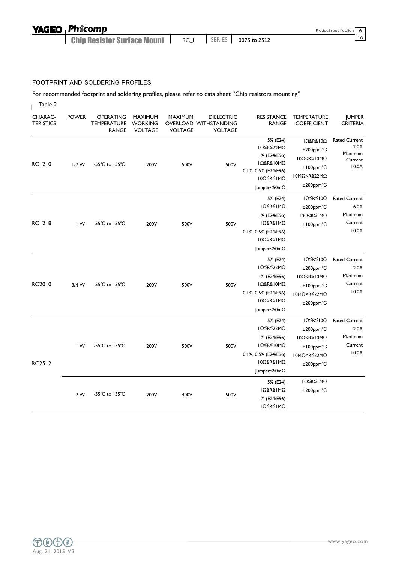## YAGEO Phicomp

Chip Resistor Surface Mount

#### FOOTPRINT AND SOLDERING PROFILES

For recommended footprint and soldering profiles, please refer to data sheet "Chip resistors mounting"

| Table 2                     |                         |                                                 |                                                    |                                  |                                                              |                                                                                                                   |                                                                                                                                                  |                                                             |
|-----------------------------|-------------------------|-------------------------------------------------|----------------------------------------------------|----------------------------------|--------------------------------------------------------------|-------------------------------------------------------------------------------------------------------------------|--------------------------------------------------------------------------------------------------------------------------------------------------|-------------------------------------------------------------|
| CHARAC-<br><b>TERISTICS</b> | <b>POWER</b>            | OPERATING<br><b>TEMPERATURE</b><br><b>RANGE</b> | <b>MAXIMUM</b><br><b>WORKING</b><br><b>VOLTAGE</b> | <b>MAXIMUM</b><br><b>VOLTAGE</b> | <b>DIELECTRIC</b><br>OVERLOAD WITHSTANDING<br><b>VOLTAGE</b> | <b>RESISTANCE</b><br><b>RANGE</b>                                                                                 | TEMPERATURE<br><b>COEFFICIENT</b>                                                                                                                | <b>JUMPER</b><br><b>CRITERIA</b>                            |
| <b>RC1210</b>               | $1/2$ W                 | -55 $^{\circ}$ C to 155 $^{\circ}$ C            | 200V                                               | 500V                             | 500V                                                         | 5% (E24)<br>IΩ≦R≦22MΩ<br>I% (E24/E96)<br>ΙΩ≦R≦Ι0ΜΩ<br>0.1%, 0.5% (E24/E96)<br>10Ω≦R≦1MΩ<br>$ $ umper<50m $\Omega$ | $I\Omega \leq R \leq I\ 0\Omega$<br>$±200$ ppm $°C$<br>10Ω <r≦10mω<br>±100ppm°C<br/>10MΩ<r≦22mω<br>±200ppm°C</r≦22mω<br></r≦10mω<br>             | <b>Rated Current</b><br>2.0A<br>Maximum<br>Current<br>10.0A |
| <b>RC1218</b>               | $\mathsf{I} \mathsf{W}$ | $-55^{\circ}$ C to $155^{\circ}$ C              | 200V                                               | 500V                             | 500V                                                         | 5% (E24)<br>ΙΩ≦R≦ΙΜΩ<br>I% (E24/E96)<br>ΙΩ≦R≦ΙΜΩ<br>0.1%, 0.5% (E24/E96)<br>10Ω≦R≦IMΩ<br>$ $ umper<50m $\Omega$   | IΩ ≤ R ≤ I0Ω<br>±200ppm°C<br>$10\Omega < R \leq 1 M\Omega$<br>±100ppm°C                                                                          | <b>Rated Current</b><br>6.0A<br>Maximum<br>Current<br>10.0A |
| RC2010                      | $3/4$ W                 | -55 $^{\circ}$ C to 155 $^{\circ}$ C            | 200V                                               | 500V                             | 500V                                                         | 5% (E24)<br>IΩ≦R≦22MΩ<br>I% (E24/E96)<br>ΙΩ≦R≦Ι0ΜΩ<br>0.1%, 0.5% (E24/E96)<br>10Ω≦R≦IMΩ<br>Jumper<50mΩ            | $IΩ$ ≦R≦ $I$ 0Ω<br>±200ppm°C<br>$10\Omega < R \le 10 M\Omega$<br>±100ppm°C<br>10MΩ <r≦22mω<br>±200ppm°C</r≦22mω<br>                              | <b>Rated Current</b><br>2.0A<br>Maximum<br>Current<br>10.0A |
| <b>RC2512</b>               | $\mathsf{I} \mathsf{W}$ | -55 $^{\circ}$ C to 155 $^{\circ}$ C            | 200V                                               | 500V                             | 500V                                                         | 5% (E24)<br>IΩ≦R≦22MΩ<br>I% (E24/E96)<br>ΙΩ≦R≦Ι0ΜΩ<br>0.1%, 0.5% (E24/E96)<br>10Ω≦R≦IMΩ<br>$ $ umper<50m $\Omega$ | $I\Omega \leq R \leq I\ 0\Omega$<br>$±200$ ppm $°C$<br>$10\Omega < R \le 10 M\Omega$<br>$±100$ ppm $°C$<br>IOMΩ <r≦22mω<br>±200ppm°C</r≦22mω<br> | <b>Rated Current</b><br>2.0A<br>Maximum<br>Current<br>10.0A |
|                             | 2 W                     | -55 $^{\circ}$ C to 155 $^{\circ}$ C            | 200V                                               | 400V                             | 500V                                                         | 5% (E24)<br>ΙΩ≦R≦ΙΜΩ<br>I% (E24/E96)<br>ΙΩ≦R≦ΙΜΩ                                                                  | ΙΩ≦R≦ΙΜΩ<br>$±200$ ppm $°C$                                                                                                                      |                                                             |

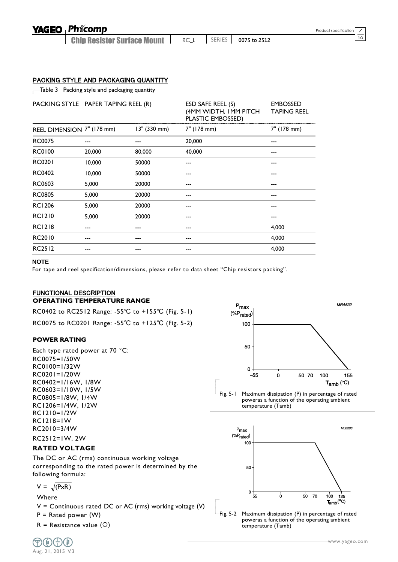## Phicomp

Chip Resistor Surface Mount

<sup>10</sup> RC\_L SERIES **0075 to 2512**

#### PACKING STYLE AND PACKAGING QUANTITY

Table 3 Packing style and packaging quantity

| PACKING STYLE PAPER TAPING REEL (R) |        |              | ESD SAFE REEL (S)<br>(4MM WIDTH, IMM PITCH<br>PLASTIC EMBOSSED) | <b>EMBOSSED</b><br><b>TAPING REEL</b> |
|-------------------------------------|--------|--------------|-----------------------------------------------------------------|---------------------------------------|
| REEL DIMENSION 7" (178 mm)          |        | 13" (330 mm) | 7" (178 mm)                                                     | 7" (178 mm)                           |
| <b>RC0075</b>                       |        |              | 20,000                                                          |                                       |
| <b>RC0100</b>                       | 20,000 | 80,000       | 40,000                                                          |                                       |
| <b>RC0201</b>                       | 10,000 | 50000        |                                                                 |                                       |
| <b>RC0402</b>                       | 10,000 | 50000        |                                                                 |                                       |
| RC0603                              | 5,000  | 20000        |                                                                 |                                       |
| <b>RC0805</b>                       | 5,000  | 20000        |                                                                 |                                       |
| <b>RC1206</b>                       | 5,000  | 20000        |                                                                 |                                       |
| <b>RC1210</b>                       | 5,000  | 20000        |                                                                 |                                       |
| <b>RC1218</b>                       |        |              |                                                                 | 4,000                                 |
| RC2010                              |        |              |                                                                 | 4,000                                 |
| <b>RC2512</b>                       |        |              |                                                                 | 4,000                                 |

#### **NOTE**

For tape and reel specification/dimensions, please refer to data sheet "Chip resistors packing".

#### FUNCTIONAL DESCRIPTION **OPERATING TEMPERATURE RANGE**

RC0402 to RC2512 Range: -55℃ to +155℃ (Fig. 5-1) RC0075 to RC0201 Range: -55℃ to +125℃ (Fig. 5-2)

#### **POWER RATING**

Each type rated power at 70 °C: RC0075=1/50W RC0100=1/32W RC0201=1/20W RC0402=1/16W, 1/8W RC0603=1/10W, 1/5W RC0805=1/8W, 1/4W RC1206=1/4W, 1/2W RC1210=1/2W RC1218=1W RC2010=3/4W RC2512=1W, 2W

#### **RATED VOLTAGE**

The DC or AC (rms) continuous working voltage corresponding to the rated power is determined by the following formula:

$$
V = \sqrt{PxR}
$$

Where

 $V =$  Continuous rated DC or AC (rms) working voltage (V)

 $P =$  Rated power (W)

R = Resistance value  $(\Omega)$ 





Fig. 5-2 Maximum dissipation (P) in percentage of rated poweras a function of the operating ambient temperature (Tamb)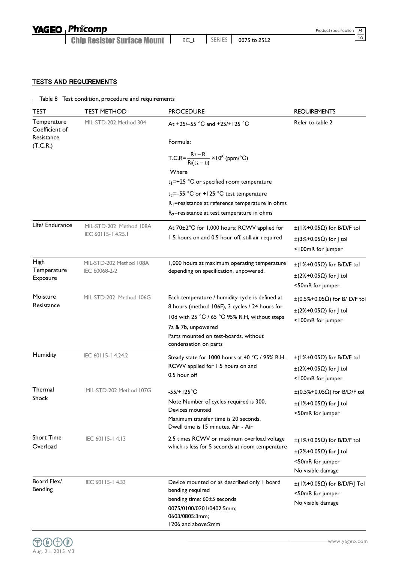| <b>YAGEO Phicomp</b>               |      |        |              | Product specification 8 |  |
|------------------------------------|------|--------|--------------|-------------------------|--|
| <b>Chip Resistor Surface Mount</b> | RC L | SERIES | 0075 to 2512 |                         |  |

#### TESTS AND REQUIREMENTS

### $\hbox{--}$  Table  $8$   $\hbox{~}$  Test condition, procedure and requirements

| <b>TEST</b>                                             | <b>TEST METHOD</b>                                                                                                                                                                                                                                                                               | <b>PROCEDURE</b>                                                                                                                                                                                                                           | <b>REQUIREMENTS</b>                                                                                                     |
|---------------------------------------------------------|--------------------------------------------------------------------------------------------------------------------------------------------------------------------------------------------------------------------------------------------------------------------------------------------------|--------------------------------------------------------------------------------------------------------------------------------------------------------------------------------------------------------------------------------------------|-------------------------------------------------------------------------------------------------------------------------|
| Temperature<br>Coefficient of<br>Resistance<br>(T.C.R.) | MIL-STD-202 Method 304<br>At +25/-55 °C and +25/+125 °C<br>Formula:<br>T.C.R= $\frac{R_2 - R_1}{R_1(t_2 - t_1)} \times 10^6$ (ppm/°C)<br>Where<br>$t_1$ =+25 °C or specified room temperature<br>$t_2$ =-55 °C or +125 °C test temperature<br>$R_1$ =resistance at reference temperature in ohms |                                                                                                                                                                                                                                            | Refer to table 2                                                                                                        |
| Life/ Endurance                                         | MIL-STD-202 Method 108A<br>IEC 60115-14.25.1                                                                                                                                                                                                                                                     | $R_2$ =resistance at test temperature in ohms<br>At 70±2°C for 1,000 hours; RCWV applied for<br>1.5 hours on and 0.5 hour off, still air required                                                                                          | $\pm$ (1%+0.05 $\Omega$ ) for B/D/F tol<br>$\pm$ (3%+0.05 $\Omega$ ) for J tol<br><100mR for jumper                     |
| High<br>Temperature<br>Exposure                         | MIL-STD-202 Method 108A<br>IEC 60068-2-2                                                                                                                                                                                                                                                         | 1,000 hours at maximum operating temperature<br>depending on specification, unpowered.                                                                                                                                                     | $\pm$ (1%+0.05 $\Omega$ ) for B/D/F tol<br>$\pm$ (2%+0.05 $\Omega$ ) for J tol<br><50mR for jumper                      |
| Moisture<br>Resistance                                  | MIL-STD-202 Method 106G                                                                                                                                                                                                                                                                          | Each temperature / humidity cycle is defined at<br>8 hours (method 106F), 3 cycles / 24 hours for<br>10d with 25 °C / 65 °C 95% R.H, without steps<br>7a & 7b, unpowered<br>Parts mounted on test-boards, without<br>condensation on parts | $\pm (0.5\% + 0.05\Omega)$ for B/ D/F tol<br>$\pm$ (2%+0.05 $\Omega$ ) for J tol<br><100mR for jumper                   |
| Humidity                                                | IEC 60115-14.24.2                                                                                                                                                                                                                                                                                | Steady state for 1000 hours at 40 °C / 95% R.H.<br>RCWV applied for 1.5 hours on and<br>0.5 hour off                                                                                                                                       | $\pm$ (1%+0.05 $\Omega$ ) for B/D/F tol<br>$\pm$ (2%+0.05 $\Omega$ ) for J tol<br><100mR for jumper                     |
| Thermal<br>Shock                                        | MIL-STD-202 Method 107G                                                                                                                                                                                                                                                                          | $-55/+125°C$<br>Note Number of cycles required is 300.<br>Devices mounted<br>Maximum transfer time is 20 seconds.<br>Dwell time is 15 minutes. Air - Air                                                                                   | $\pm (0.5\% + 0.05\Omega)$ for B/D/F tol<br>$\pm$ (1%+0.05 $\Omega$ ) for J tol<br><50mR for jumper                     |
| <b>Short Time</b><br>Overload                           | IEC 60115-14.13                                                                                                                                                                                                                                                                                  | 2.5 times RCWV or maximum overload voltage<br>which is less for 5 seconds at room temperature                                                                                                                                              | $\pm$ (1%+0.05 $\Omega$ ) for B/D/F tol<br>$\pm$ (2%+0.05 $\Omega$ ) for J tol<br><50mR for jumper<br>No visible damage |
| Board Flex/<br>Bending                                  | IEC 60115-14.33                                                                                                                                                                                                                                                                                  | Device mounted or as described only I board<br>bending required<br>bending time: 60±5 seconds<br>0075/0100/0201/0402:5mm;<br>0603/0805:3mm;<br>1206 and above:2mm                                                                          | $\pm$ (1%+0.05 $\Omega$ ) for B/D/F/J Tol<br><50mR for jumper<br>No visible damage                                      |

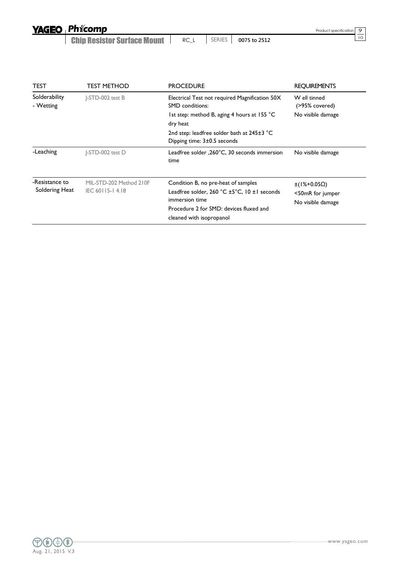**Chip Resistor Surface Mount** | RC\_L | SERIES | 0075 to 2512

| I<br>×<br>۰. |
|--------------|

| <b>TEST</b>                      | <b>TEST METHOD</b>                         | <b>PROCEDURE</b>                                                                                                                                                                        | <b>REQUIREMENTS</b>                                    |
|----------------------------------|--------------------------------------------|-----------------------------------------------------------------------------------------------------------------------------------------------------------------------------------------|--------------------------------------------------------|
| Solderability<br>- Wetting       | I-STD-002 test B                           | Electrical Test not required Magnification 50X<br><b>SMD</b> conditions:<br>1st step: method B, aging 4 hours at 155 °C<br>dry heat<br>2nd step: leadfree solder bath at $245\pm3$ °C   | W ell tinned<br>(>95% covered)<br>No visible damage    |
| -Leaching                        | I-STD-002 test D                           | Dipping time: 3±0.5 seconds<br>Leadfree solder , 260°C, 30 seconds immersion<br>time                                                                                                    | No visible damage                                      |
| -Resistance to<br>Soldering Heat | MIL-STD-202 Method 210F<br>IEC 60115-14.18 | Condition B, no pre-heat of samples<br>Leadfree solder, $260 °C \pm 5 °C$ , $10 \pm 1$ seconds<br>immersion time<br>Procedure 2 for SMD: devices fluxed and<br>cleaned with isopropanol | $±(1%+0.05Ω)$<br><50mR for jumper<br>No visible damage |